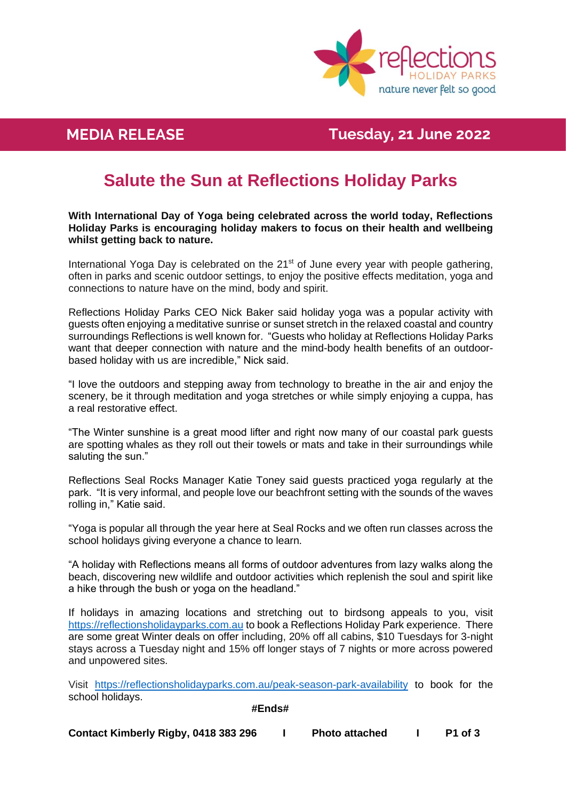

## **MEDIA Killalea Reserve News RELEASE Tuesday, 21 June 2022**

# **Salute the Sun at Reflections Holiday Parks**

**With International Day of Yoga being celebrated across the world today, Reflections Holiday Parks is encouraging holiday makers to focus on their health and wellbeing whilst getting back to nature.**

International Yoga Day is celebrated on the 21<sup>st</sup> of June every year with people gathering, often in parks and scenic outdoor settings, to enjoy the positive effects meditation, yoga and connections to nature have on the mind, body and spirit.

Reflections Holiday Parks CEO Nick Baker said holiday yoga was a popular activity with guests often enjoying a meditative sunrise or sunset stretch in the relaxed coastal and country surroundings Reflections is well known for. "Guests who holiday at Reflections Holiday Parks want that deeper connection with nature and the mind-body health benefits of an outdoorbased holiday with us are incredible," Nick said.

"I love the outdoors and stepping away from technology to breathe in the air and enjoy the scenery, be it through meditation and yoga stretches or while simply enjoying a cuppa, has a real restorative effect.

"The Winter sunshine is a great mood lifter and right now many of our coastal park guests are spotting whales as they roll out their towels or mats and take in their surroundings while saluting the sun."

Reflections Seal Rocks Manager Katie Toney said guests practiced yoga regularly at the park. "It is very informal, and people love our beachfront setting with the sounds of the waves rolling in," Katie said.

"Yoga is popular all through the year here at Seal Rocks and we often run classes across the school holidays giving everyone a chance to learn.

"A holiday with Reflections means all forms of outdoor adventures from lazy walks along the beach, discovering new wildlife and outdoor activities which replenish the soul and spirit like a hike through the bush or yoga on the headland."

If holidays in amazing locations and stretching out to birdsong appeals to you, visit [https://reflectionsholidayparks.com.au](https://reflectionsholidayparks.com.au/) to book a Reflections Holiday Park experience. There are some great Winter deals on offer including, 20% off all cabins, \$10 Tuesdays for 3-night stays across a Tuesday night and 15% off longer stays of 7 nights or more across powered and unpowered sites.

Visit [https://reflectionsholidayparks.com.au/peak-season-park-availability](https://reflectionsholidayparks.com.au/peak-season-park-availability.) to book for the school holidays.

### **#Ends#**

**Contact Kimberly Rigby, 0418 383 296 I Photo attached I P1 of 3**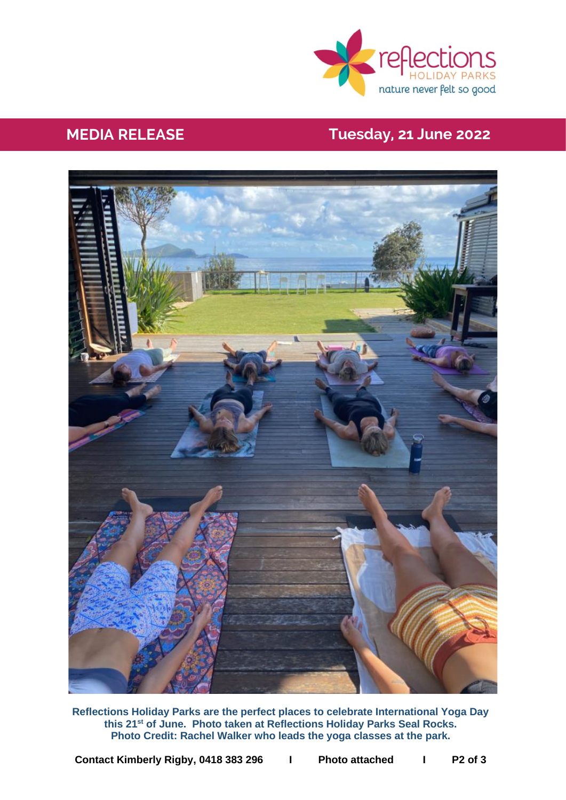

# **MEDIA Killalea Reserve News RELEASE Tuesday, 21 June 2022**



**Reflections Holiday Parks are the perfect places to celebrate International Yoga Day this 21st of June. Photo taken at Reflections Holiday Parks Seal Rocks. Photo Credit: Rachel Walker who leads the yoga classes at the park.**